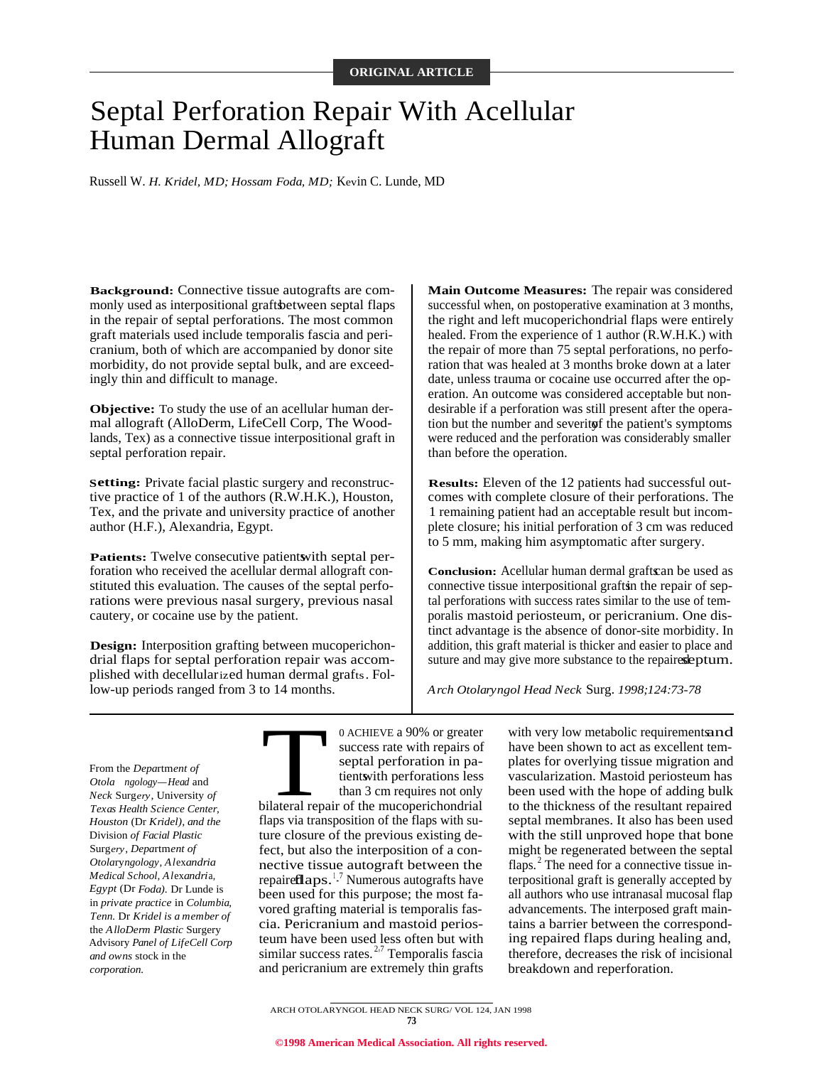# Septal Perforation Repair With Acellular Human Dermal Allograft

Russell W. *H. Kridel, MD; Hossam Foda, MD;* Kevin C. Lunde, MD

**Background:** Connective tissue autografts are commonly used as interpositional grafts between septal flaps in the repair of septal perforations. The most common graft materials used include temporalis fascia and pericranium, both of which are accompanied by donor site morbidity, do not provide septal bulk, and are exceedingly thin and difficult to manage.

**Objective:** To study the use of an acellular human dermal allograft (AlloDerm, LifeCell Corp, The Woodlands, Tex) as a connective tissue interpositional graft in septal perforation repair.

**Setting:** Private facial plastic surgery and reconstructive practice of 1 of the authors (R.W.H.K.), Houston, Tex, and the private and university practice of another author (H.F.), Alexandria, Egypt.

**Patients:** Twelve consecutive patient with septal perforation who received the acellular dermal allograft constituted this evaluation. The causes of the septal perforations were previous nasal surgery, previous nasal cautery, or cocaine use by the patient.

**Design:** Interposition grafting between mucoperichondrial flaps for septal perforation repair was accomplished with decellularized human dermal grafts. Follow-up periods ranged from 3 to 14 months.

**Main Outcome Measures:** The repair was considered successful when, on postoperative examination at 3 months, the right and left mucoperichondrial flaps were entirely healed. From the experience of 1 author (R.W.H.K.) with the repair of more than 75 septal perforations, no perforation that was healed at 3 months broke down at a later date, unless trauma or cocaine use occurred after the operation. An outcome was considered acceptable but nondesirable if a perforation was still present after the operation but the number and severity f the patient's symptoms were reduced and the perforation was considerably smaller than before the operation.

**Results:** Eleven of the 12 patients had successful outcomes with complete closure of their perforations. The 1 remaining patient had an acceptable result but incomplete closure; his initial perforation of 3 cm was reduced to 5 mm, making him asymptomatic after surgery.

**Conclusion:** Acellular human dermal grafts can be used as connective tissue interpositional grafts in the repair of septal perforations with success rates similar to the use of temporalis mastoid periosteum, or pericranium. One distinct advantage is the absence of donor-site morbidity. In addition, this graft material is thicker and easier to place and suture and may give more substance to the repaires leptum.

*Arch Otolaryngol Head Neck* Surg. *1998;124:73-78*

From the *Depa*rtm*ent of Otola ngology—Head* and *Neck* Surg*ery*, University *of Texas Health Science Center, Houston* (Dr *Kridel), and the* Division *of Facial Plastic* Surg*ery*, *Depa*rtm*ent of Otola*ry*ngology, Al*ex*andria Medical School, Al*ex*andri*a, *Egypt* (Dr *Foda).* Dr Lunde is in *private practice* in *Columbia, Tenn.* Dr *Kridel is a member of* the *AlloDerm Plastic* Surgery Advisory *Panel of LifeCell Corp and owns* stock in the *corporation.*

0 ACHIEVE a 90% or greater<br>success rate with repairs of<br>septal perforation in pa-<br>tientwith perforations less<br>than 3 cm requires not only<br>bilateral repair of the mucoperichondrial 0 ACHIEVE a 90% or greater success rate with repairs of septal perforation in patient with perforations less than 3 cm requires not only flaps via transposition of the flaps with suture closure of the previous existing defect, but also the interposition of a connective tissue autograft between the repaire $\mathbf{flaps.}^{1.7}$  Numerous autografts have been used for this purpose; the most favored grafting material is temporalis fascia. Pericranium and mastoid periosteum have been used less often but with similar success rates.<sup>2,7</sup> Temporalis fascia and pericranium are extremely thin grafts

with very low metabolic requirements and have been shown to act as excellent templates for overlying tissue migration and vascularization. Mastoid periosteum has been used with the hope of adding bulk to the thickness of the resultant repaired septal membranes. It also has been used with the still unproved hope that bone might be regenerated between the septal flaps.<sup>2</sup> The need for a connective tissue interpositional graft is generally accepted by all authors who use intranasal mucosal flap advancements. The interposed graft maintains a barrier between the corresponding repaired flaps during healing and, therefore, decreases the risk of incisional breakdown and reperforation.

ARCH OTOLARYNGOL HEAD NECK SURG/ VOL 124, JAN 1998 **73**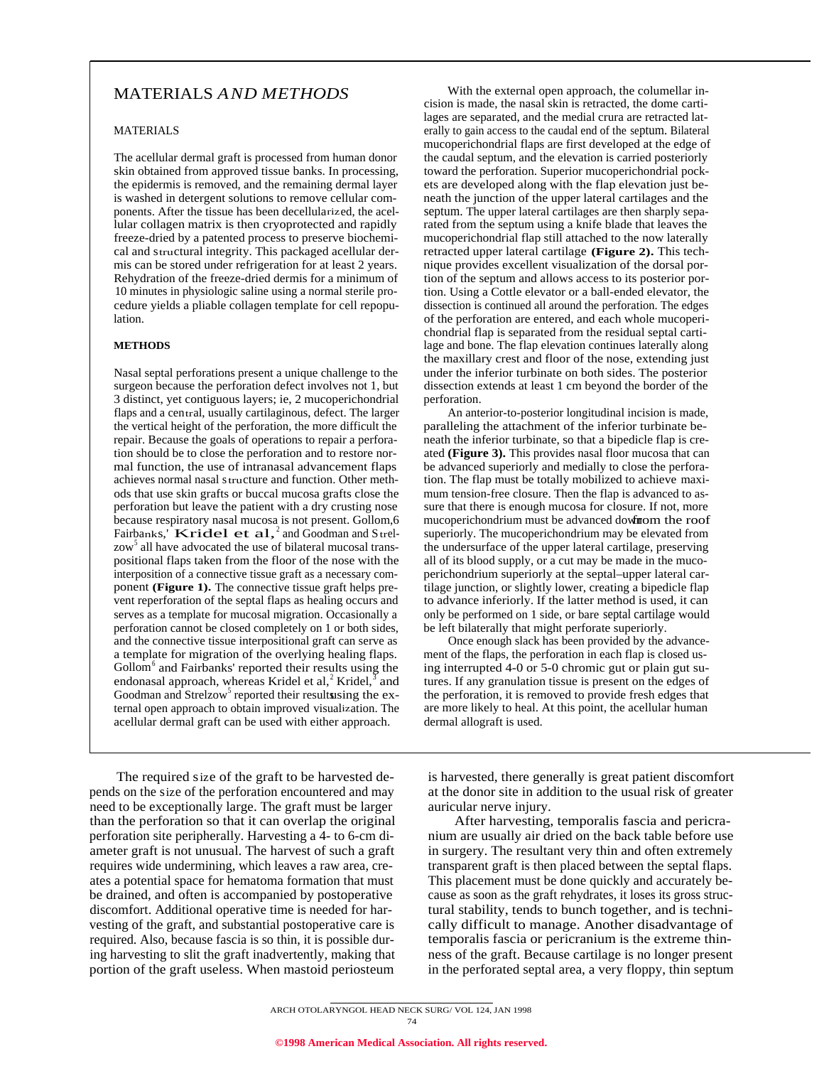# MATERIALS *AND METHODS*

### MATERIALS

The acellular dermal graft is processed from human donor skin obtained from approved tissue banks. In processing, the epidermis is removed, and the remaining dermal layer is washed in detergent solutions to remove cellular components. After the tissue has been decellularized, the acellular collagen matrix is then cryoprotected and rapidly freeze-dried by a patented process to preserve biochemical and structural integrity. This packaged acellular dermis can be stored under refrigeration for at least 2 years. Rehydration of the freeze-dried dermis for a minimum of 10 minutes in physiologic saline using a normal sterile procedure yields a pliable collagen template for cell repopulation.

#### **METHODS**

Nasal septal perforations present a unique challenge to the surgeon because the perforation defect involves not 1, but 3 distinct, yet contiguous layers; ie, 2 mucoperichondrial flaps and a central, usually cartilaginous, defect. The larger the vertical height of the perforation, the more difficult the repair. Because the goals of operations to repair a perforation should be to close the perforation and to restore normal function, the use of intranasal advancement flaps achieves normal nasal structure and function. Other methods that use skin grafts or buccal mucosa grafts close the perforation but leave the patient with a dry crusting nose because respiratory nasal mucosa is not present. Gollom,6 because respiratory has<br>a mucosa is not present. Conom,  $\sigma$ <br>Fairbanks,' Kridel et al,  $\alpha$  and Goodman and Strelzow<sup>5</sup> all have advocated the use of bilateral mucosal transpositional flaps taken from the floor of the nose with the interposition of a connective tissue graft as a necessary component **(Figure 1).** The connective tissue graft helps prevent reperforation of the septal flaps as healing occurs and serves as a template for mucosal migration. Occasionally a perforation cannot be closed completely on 1 or both sides, and the connective tissue interpositional graft can serve as a template for migration of the overlying healing flaps. Gollom<sup>6</sup> and Fairbanks' reported their results using the endonasal approach, whereas Kridel et al,<sup>2</sup> Kridel,<sup>3</sup> and Goodman and Strelzow<sup>5</sup> reported their results using the external open approach to obtain improved visualization. The acellular dermal graft can be used with either approach.

The required size of the graft to be harvested depends on the size of the perforation encountered and may need to be exceptionally large. The graft must be larger than the perforation so that it can overlap the original perforation site peripherally. Harvesting a 4- to 6-cm diameter graft is not unusual. The harvest of such a graft requires wide undermining, which leaves a raw area, creates a potential space for hematoma formation that must be drained, and often is accompanied by postoperative discomfort. Additional operative time is needed for harvesting of the graft, and substantial postoperative care is required. Also, because fascia is so thin, it is possible during harvesting to slit the graft inadvertently, making that portion of the graft useless. When mastoid periosteum

With the external open approach, the columellar incision is made, the nasal skin is retracted, the dome cartilages are separated, and the medial crura are retracted laterally to gain access to the caudal end of the septum. Bilateral mucoperichondrial flaps are first developed at the edge of the caudal septum, and the elevation is carried posteriorly toward the perforation. Superior mucoperichondrial pockets are developed along with the flap elevation just beneath the junction of the upper lateral cartilages and the septum. The upper lateral cartilages are then sharply separated from the septum using a knife blade that leaves the mucoperichondrial flap still attached to the now laterally retracted upper lateral cartilage **(Figure 2).** This technique provides excellent visualization of the dorsal portion of the septum and allows access to its posterior portion. Using a Cottle elevator or a ball-ended elevator, the dissection is continued all around the perforation. The edges of the perforation are entered, and each whole mucoperichondrial flap is separated from the residual septal cartilage and bone. The flap elevation continues laterally along the maxillary crest and floor of the nose, extending just under the inferior turbinate on both sides. The posterior dissection extends at least 1 cm beyond the border of the perforation.

An anterior-to-posterior longitudinal incision is made, paralleling the attachment of the inferior turbinate beneath the inferior turbinate, so that a bipedicle flap is created **(Figure 3).** This provides nasal floor mucosa that can be advanced superiorly and medially to close the perforation. The flap must be totally mobilized to achieve maximum tension-free closure. Then the flap is advanced to assure that there is enough mucosa for closure. If not, more mucoperichondrium must be advanced down from the roof superiorly. The mucoperichondrium may be elevated from the undersurface of the upper lateral cartilage, preserving all of its blood supply, or a cut may be made in the mucoperichondrium superiorly at the septal–upper lateral cartilage junction, or slightly lower, creating a bipedicle flap to advance inferiorly. If the latter method is used, it can only be performed on 1 side, or bare septal cartilage would be left bilaterally that might perforate superiorly.

Once enough slack has been provided by the advancement of the flaps, the perforation in each flap is closed using interrupted 4-0 or 5-0 chromic gut or plain gut sutures. If any granulation tissue is present on the edges of the perforation, it is removed to provide fresh edges that are more likely to heal. At this point, the acellular human dermal allograft is used.

is harvested, there generally is great patient discomfort at the donor site in addition to the usual risk of greater auricular nerve injury.

After harvesting, temporalis fascia and pericranium are usually air dried on the back table before use in surgery. The resultant very thin and often extremely transparent graft is then placed between the septal flaps. This placement must be done quickly and accurately because as soon as the graft rehydrates, it loses its gross structural stability, tends to bunch together, and is technically difficult to manage. Another disadvantage of temporalis fascia or pericranium is the extreme thinness of the graft. Because cartilage is no longer present in the perforated septal area, a very floppy, thin septum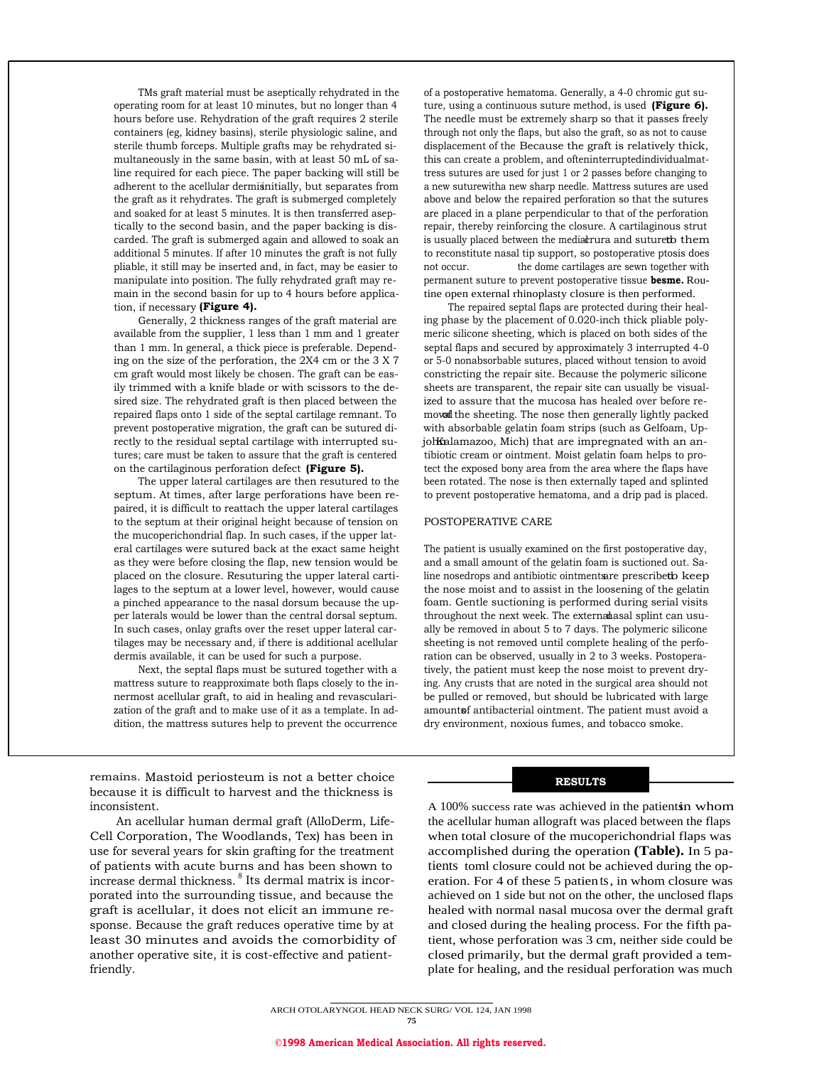TMs graft material must be aseptically rehydrated in the operating room for at least 10 minutes, but no longer than 4 hours before use. Rehydration of the graft requires 2 sterile containers (eg, kidney basins), sterile physiologic saline, and sterile thumb forceps. Multiple grafts may be rehydrated simultaneously in the same basin, with at least 50 mL of saline required for each piece. The paper backing will still be adherent to the acellular dermisinitially, but separates from the graft as it rehydrates. The graft is submerged completely and soaked for at least 5 minutes. It is then transferred aseptically to the second basin, and the paper backing is discarded. The graft is submerged again and allowed to soak an additional 5 minutes. If after 10 minutes the graft is not fully pliable, it still may be inserted and, in fact, may be easier to manipulate into position. The fully rehydrated graft may remain in the second basin for up to 4 hours before application, if necessary **(Figure 4).**

Generally, 2 thickness ranges of the graft material are available from the supplier, 1 less than 1 mm and 1 greater than 1 mm. In general, a thick piece is preferable. Depending on the size of the perforation, the 2X4 cm or the 3 X 7 cm graft would most likely be chosen. The graft can be easily trimmed with a knife blade or with scissors to the desired size. The rehydrated graft is then placed between the repaired flaps onto 1 side of the septal cartilage remnant. To prevent postoperative migration, the graft can be sutured directly to the residual septal cartilage with interrupted sutures; care must be taken to assure that the graft is centered on the cartilaginous perforation defect **(Figure 5).**

The upper lateral cartilages are then resutured to the septum. At times, after large perforations have been repaired, it is difficult to reattach the upper lateral cartilages to the septum at their original height because of tension on the mucoperichondrial flap. In such cases, if the upper lateral cartilages were sutured back at the exact same height as they were before closing the flap, new tension would be placed on the closure. Resuturing the upper lateral cartilages to the septum at a lower level, however, would cause a pinched appearance to the nasal dorsum because the upper laterals would be lower than the central dorsal septum. In such cases, onlay grafts over the reset upper lateral cartilages may be necessary and, if there is additional acellular dermis available, it can be used for such a purpose.

Next, the septal flaps must be sutured together with a mattress suture to reapproximate both flaps closely to the innermost acellular graft, to aid in healing and revascularization of the graft and to make use of it as a template. In addition, the mattress sutures help to prevent the occurrence

remains. Mastoid periosteum is not a better choice because it is difficult to harvest and the thickness is inconsistent.

An acellular human dermal graft (AlloDerm, Life-Cell Corporation, The Woodlands, Tex) has been in use for several years for skin grafting for the treatment of patients with acute burns and has been shown to increase dermal thickness. <sup>8</sup> Its dermal matrix is incorporated into the surrounding tissue, and because the graft is acellular, it does not elicit an immune response. Because the graft reduces operative time by at least 30 minutes and avoids the comorbidity of another operative site, it is cost-effective and patientfriendly.

of a postoperative hematoma. Generally, a 4-0 chromic gut suture, using a continuous suture method, is used **(Figure 6).** The needle must be extremely sharp so that it passes freely through not only the flaps, but also the graft, so as not to cause displacement of the Because the graft is relatively thick, this can create a problem, and ofteninterruptedindividualmattress sutures are used for just 1 or 2 passes before changing to a new suturewitha new sharp needle. Mattress sutures are used above and below the repaired perforation so that the sutures are placed in a plane perpendicular to that of the perforation repair, thereby reinforcing the closure. A cartilaginous strut is usually placed between the media crura and suture to them to reconstitute nasal tip support, so postoperative ptosis does not occur. the dome cartilages are sewn together with permanent suture to prevent postoperative tissue **besme.** Routine open external rhinoplasty closure is then performed.

The repaired septal flaps are protected during their healing phase by the placement of 0.020-inch thick pliable polymeric silicone sheeting, which is placed on both sides of the septal flaps and secured by approximately 3 interrupted 4-0 or 5-0 nonabsorbable sutures, placed without tension to avoid constricting the repair site. Because the polymeric silicone sheets are transparent, the repair site can usually be visualized to assure that the mucosa has healed over before removal the sheeting. The nose then generally lightly packed with absorbable gelatin foam strips (such as Gelfoam, UpjohKalamazoo, Mich) that are impregnated with an antibiotic cream or ointment. Moist gelatin foam helps to protect the exposed bony area from the area where the flaps have been rotated. The nose is then externally taped and splinted to prevent postoperative hematoma, and a drip pad is placed.

#### POSTOPERATIVE CARE

The patient is usually examined on the first postoperative day, and a small amount of the gelatin foam is suctioned out. Saline nosedrops and antibiotic ointments are prescribed keep the nose moist and to assist in the loosening of the gelatin foam. Gentle suctioning is performed during serial visits throughout the next week. The externa hasal splint can usually be removed in about 5 to 7 days. The polymeric silicone sheeting is not removed until complete healing of the perforation can be observed, usually in 2 to 3 weeks. Postoperatively, the patient must keep the nose moist to prevent drying. Any crusts that are noted in the surgical area should not be pulled or removed, but should be lubricated with large amountsf antibacterial ointment. The patient must avoid a dry environment, noxious fumes, and tobacco smoke.

#### **RESULTS**

A 100% success rate was achieved in the patients in whom the acellular human allograft was placed between the flaps when total closure of the mucoperichondrial flaps was accomplished during the operation **(Table).** In 5 patients toml closure could not be achieved during the operation. For 4 of these 5 patients, in whom closure was achieved on 1 side but not on the other, the unclosed flaps healed with normal nasal mucosa over the dermal graft and closed during the healing process. For the fifth patient, whose perforation was 3 cm, neither side could be closed primarily, but the dermal graft provided a template for healing, and the residual perforation was much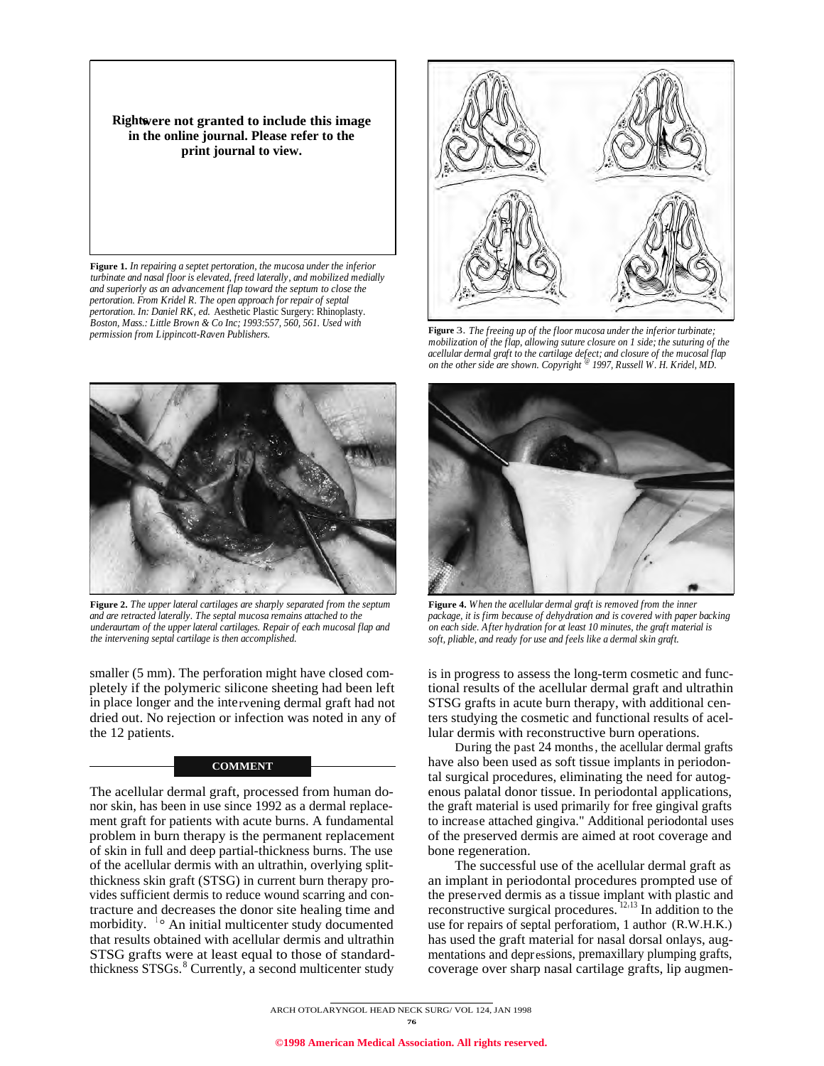**Rights were not granted to include this image in the online journal. Please refer to the print journal to view.**

**Figure 1.** *In repairing a septet pertoration, the mucosa under the inferior turbinate and nasal floor is elevated, freed laterally, and mobilized medially and superiorly as an advancement flap toward the septum to close the pertoration. From Kridel R. The open approach for repair of septal pertoration. In: Daniel RK, ed.* Aesthetic Plastic Surgery: Rhinoplasty. *Boston, Mass.: Little Brown & Co Inc; 1993:557, 560, 561. Used with permission from Lippincott-Raven Publishers. Figure 3. The freeing up of the floor mucosa under the inferior turbinate*;<br>**Figure 3.** *The freeing up of the floor mucosa under the inferior turbinate*;



**Figure 2.** *The upper lateral cartilages are sharply separated from the septum and are retracted laterally. The septal mucosa remains attached to the underaurtam of the upper lateral cartilages. Repair of each mucosal flap and the intervening septal cartilage is then accomplished.*

smaller (5 mm). The perforation might have closed completely if the polymeric silicone sheeting had been left in place longer and the intervening dermal graft had not dried out. No rejection or infection was noted in any of the 12 patients.

## **COMMENT**

The acellular dermal graft, processed from human donor skin, has been in use since 1992 as a dermal replacement graft for patients with acute burns. A fundamental problem in burn therapy is the permanent replacement of skin in full and deep partial-thickness burns. The use of the acellular dermis with an ultrathin, overlying splitthickness skin graft (STSG) in current burn therapy provides sufficient dermis to reduce wound scarring and contracture and decreases the donor site healing time and morbidity. <sup>1</sup>° An initial multicenter study documented that results obtained with acellular dermis and ultrathin STSG grafts were at least equal to those of standardthickness STSGs.<sup>8</sup> Currently, a second multicenter study



*mobilization of the flap, allowing suture closure on 1 side; the suturing of the acellular dermal graft to the cartilage defect; and closure of the mucosal flap on the other side are shown. Copyright @ 1997, Russell W. H. Kridel, MD.*



**Figure 4.** *When the acellular dermal graft is removed from the inner package, it is firm because of dehydration and is covered with paper backing on each side. After hydration for at least 10 minutes, the graft material is soft, pliable, and ready for use and feels like a dermal skin graft.*

is in progress to assess the long-term cosmetic and functional results of the acellular dermal graft and ultrathin STSG grafts in acute burn therapy, with additional centers studying the cosmetic and functional results of acellular dermis with reconstructive burn operations.

During the past 24 months, the acellular dermal grafts have also been used as soft tissue implants in periodontal surgical procedures, eliminating the need for autogenous palatal donor tissue. In periodontal applications, the graft material is used primarily for free gingival grafts to increase attached gingiva." Additional periodontal uses of the preserved dermis are aimed at root coverage and bone regeneration.

The successful use of the acellular dermal graft as an implant in periodontal procedures prompted use of the preserved dermis as a tissue implant with plastic and reconstructive surgical procedures.  $12 \times 13$  In addition to the use for repairs of septal perforatiom, 1 author (R.W.H.K.) has used the graft material for nasal dorsal onlays, augmentations and depressions, premaxillary plumping grafts, coverage over sharp nasal cartilage grafts, lip augmen-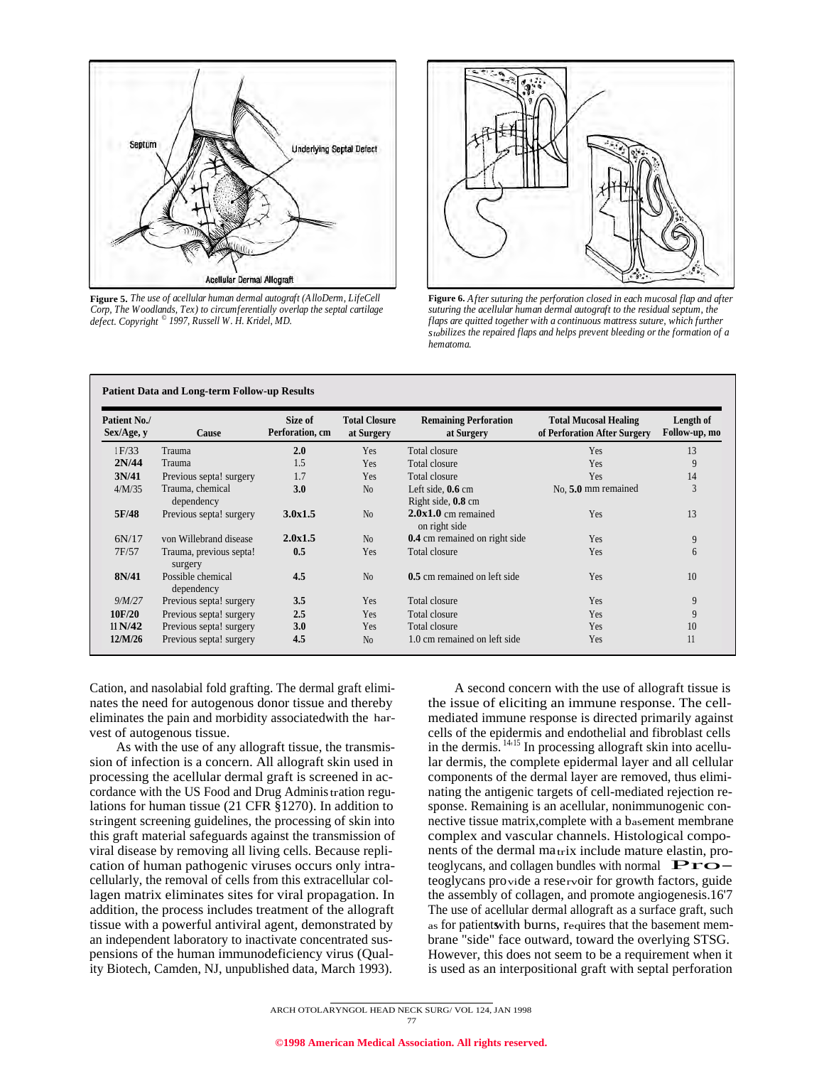

**Figure 5.** *The use of acellular human dermal autograft (AlloDerm, LifeCell Corp, The Woodlands, Tex) to circumferentially overlap the septal cartilage defect. Copyright © 1997, Russell W. H. Kridel, MD.*

**Patient Data and Long-term Follow-up Results**



**Figure 6.** *After suturing the perforation closed in each mucosal flap and after suturing the acellular human dermal autograft to the residual septum, the flaps are quitted together with a continuous mattress suture, which further stabilizes the repaired flaps and helps prevent bleeding or the formation of a hematoma.*

| Patient No./<br>Sex/Age, y | Cause                              | Size of<br>Perforation, cm | <b>Total Closure</b><br>at Surgery | <b>Remaining Perforation</b><br>at Surgery        | <b>Total Mucosal Healing</b><br>of Perforation After Surgery | Length of<br>Follow-up, mo |
|----------------------------|------------------------------------|----------------------------|------------------------------------|---------------------------------------------------|--------------------------------------------------------------|----------------------------|
| 1F/33                      | Trauma                             | 2.0                        | Yes                                | Total closure                                     | Yes                                                          | 13                         |
| 2N/44                      | Trauma                             | 1.5                        | Yes                                | Total closure                                     | Yes                                                          | 9                          |
| 3N/41                      | Previous septa! surgery            | 1.7                        | Yes                                | Total closure                                     | <b>Yes</b>                                                   | 14                         |
| 4/M/35                     | Trauma, chemical<br>dependency     | 3.0                        | N <sub>0</sub>                     | Left side, $0.6 \text{ cm}$<br>Right side, 0.8 cm | No. 5.0 mm remained                                          | 3                          |
| 5F/48                      | Previous septa! surgery            | 3.0x1.5                    | N <sub>0</sub>                     | $2.0x1.0$ cm remained<br>on right side            | Yes                                                          | 13                         |
| 6N/17                      | von Willebrand disease             | 2.0x1.5                    | N <sub>0</sub>                     | 0.4 cm remained on right side                     | <b>Yes</b>                                                   | 9                          |
| 7F/57                      | Trauma, previous septa!<br>surgery | 0.5                        | Yes                                | Total closure                                     | Yes                                                          | 6                          |
| 8N/41                      | Possible chemical<br>dependency    | 4.5                        | N <sub>0</sub>                     | 0.5 cm remained on left side                      | <b>Yes</b>                                                   | 10                         |
| 9/M/27                     | Previous septa! surgery            | 3.5                        | Yes                                | Total closure                                     | Yes                                                          | 9                          |
| 10F/20                     | Previous septa! surgery            | 2.5                        | Yes                                | Total closure                                     | Yes                                                          | 9                          |
| 11 N/42                    | Previous septa! surgery            | 3.0                        | Yes                                | Total closure                                     | Yes                                                          | 10                         |
| 12/M/26                    | Previous septa! surgery            | 4.5                        | N <sub>0</sub>                     | 1.0 cm remained on left side                      | Yes                                                          | 11                         |

Cation, and nasolabial fold grafting. The dermal graft eliminates the need for autogenous donor tissue and thereby eliminates the pain and morbidity associatedwith the harvest of autogenous tissue.

As with the use of any allograft tissue, the transmission of infection is a concern. All allograft skin used in processing the acellular dermal graft is screened in accordance with the US Food and Drug Administration regulations for human tissue (21 CFR §1270). In addition to stringent screening guidelines, the processing of skin into this graft material safeguards against the transmission of viral disease by removing all living cells. Because replication of human pathogenic viruses occurs only intracellularly, the removal of cells from this extracellular collagen matrix eliminates sites for viral propagation. In addition, the process includes treatment of the allograft tissue with a powerful antiviral agent, demonstrated by an independent laboratory to inactivate concentrated suspensions of the human immunodeficiency virus (Quality Biotech, Camden, NJ, unpublished data, March 1993).

A second concern with the use of allograft tissue is the issue of eliciting an immune response. The cellmediated immune response is directed primarily against cells of the epidermis and endothelial and fibroblast cells in the dermis. <sup>14,15</sup> In processing allograft skin into acellular dermis, the complete epidermal layer and all cellular components of the dermal layer are removed, thus eliminating the antigenic targets of cell-mediated rejection response. Remaining is an acellular, nonimmunogenic connective tissue matrix,complete with a basement membrane complex and vascular channels. Histological components of the dermal matrix include mature elastin, pro-<br>teoglycans, and collagen bundles with normal  $\mathbf{Pro}$ teoglycans provide a reservoir for growth factors, guide the assembly of collagen, and promote angiogenesis.16'7 The use of acellular dermal allograft as a surface graft, such as for patients with burns, requires that the basement membrane "side" face outward, toward the overlying STSG. However, this does not seem to be a requirement when it is used as an interpositional graft with septal perforation